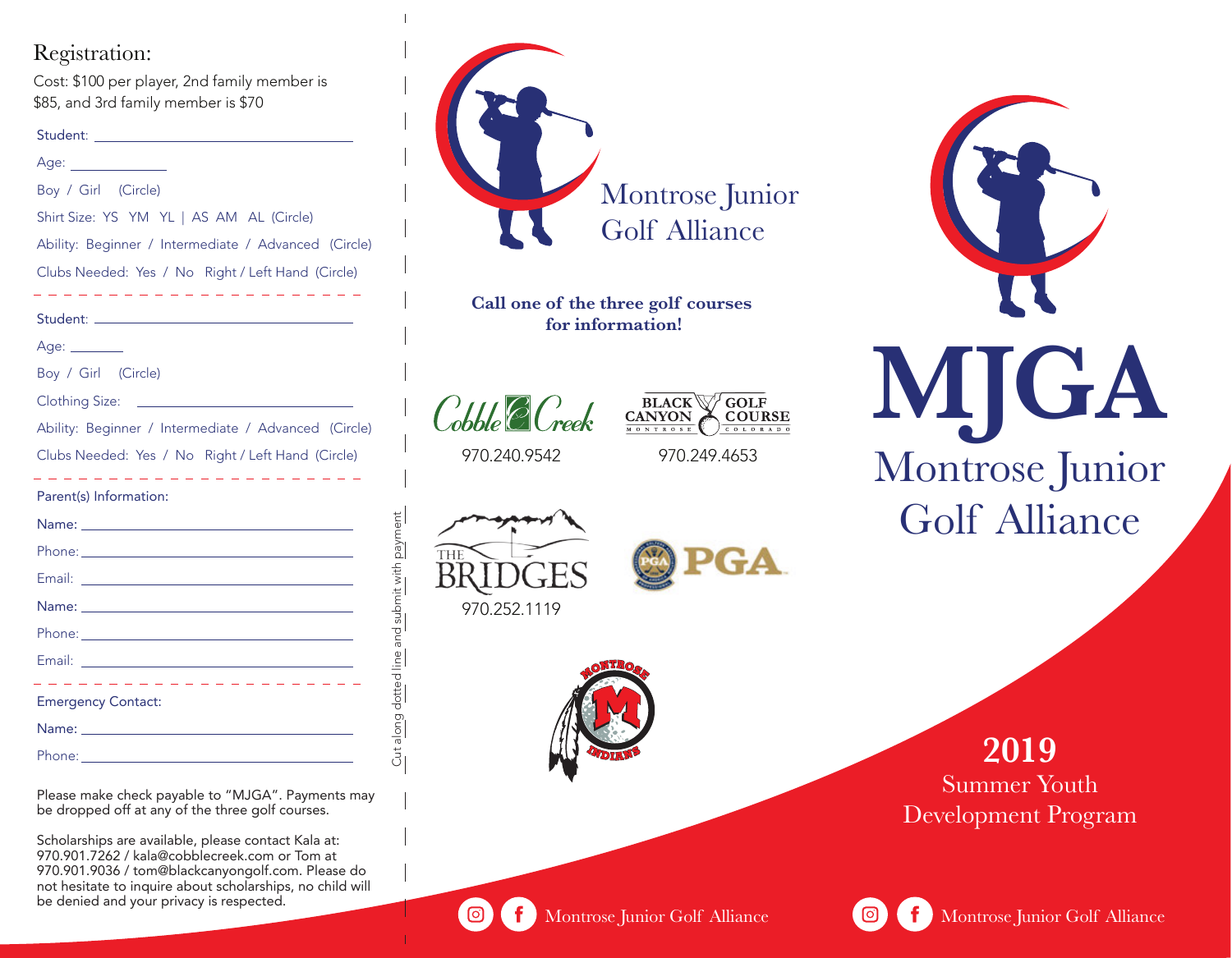## Registration:

Cost: \$100 per player, 2nd family member is \$85, and 3rd family member is \$70

| Student: |
|----------|
|          |

| Age: ______________                                                                                            |
|----------------------------------------------------------------------------------------------------------------|
| Boy / Girl (Circle)                                                                                            |
| Shirt Size: YS YM YL   AS AM AL (Circle)                                                                       |
| Ability: Beginner / Intermediate / Advanced (Circle)                                                           |
| Clubs Needed: Yes / No Right / Left Hand (Circle)                                                              |
| -------------------                                                                                            |
| Age: _______                                                                                                   |
| Boy / Girl (Circle)                                                                                            |
| Clothing Size: <u>________________________</u>                                                                 |
| Ability: Beginner / Intermediate / Advanced (Circle)                                                           |
|                                                                                                                |
| Clubs Needed: Yes / No Right / Left Hand (Circle)                                                              |
| $\sim -1$<br>L.<br>- -<br>Parent(s) Information:                                                               |
|                                                                                                                |
|                                                                                                                |
|                                                                                                                |
| Name: <u>_________________________________</u>                                                                 |
|                                                                                                                |
|                                                                                                                |
| .<br><b>Emergency Contact:</b>                                                                                 |
| Name: Name and the second contract of the second contract of the second contract of the second contract of the |

Please make check payable to "MJGA". Payments may be dropped off at any of the three golf courses.

Scholarships are available, please contact Kala at: 970.901.7262 / kala@cobblecreek.com or Tom at 970.901.9036 / tom@blackcanyongolf.com. Please do not hesitate to inquire about scholarships, no child will be denied and your privacy is respected.



**Call one of the three golf courses for information!**

 $\mathcal{C}_{\textit{obble}}\mathcal{C}\mathcal{C}_{\textit{reek}}$ 

**BLACK** GOLF **CANYON COURSE** 

970.240.9542

970.249.4653



Cut along dotted line and submit with payment

Cut along dotted line and submit with payment







Montrose Junior Golf Alliance

**2019** Summer Youth Development Program



ිම